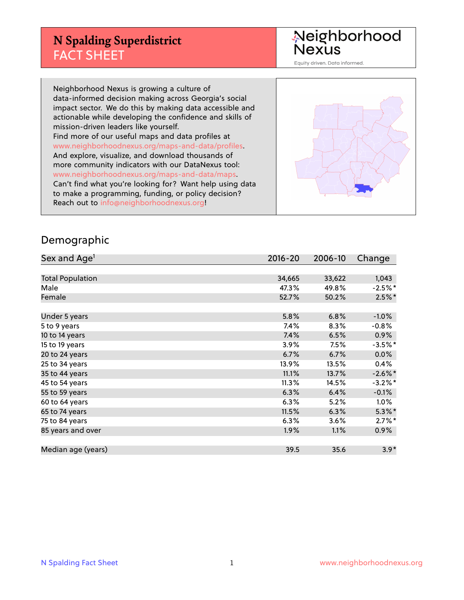## **N Spalding Superdistrict** FACT SHEET

Neighborhood<br>Nexus

Equity driven. Data informed.

Neighborhood Nexus is growing a culture of data-informed decision making across Georgia's social impact sector. We do this by making data accessible and actionable while developing the confidence and skills of mission-driven leaders like yourself. Find more of our useful maps and data profiles at www.neighborhoodnexus.org/maps-and-data/profiles. And explore, visualize, and download thousands of more community indicators with our DataNexus tool: www.neighborhoodnexus.org/maps-and-data/maps. Can't find what you're looking for? Want help using data to make a programming, funding, or policy decision? Reach out to [info@neighborhoodnexus.org!](mailto:info@neighborhoodnexus.org)



#### Demographic

| Sex and Age <sup>1</sup> | $2016 - 20$ | 2006-10 | Change     |
|--------------------------|-------------|---------|------------|
|                          |             |         |            |
| <b>Total Population</b>  | 34,665      | 33,622  | 1,043      |
| Male                     | 47.3%       | 49.8%   | $-2.5\%$ * |
| Female                   | 52.7%       | 50.2%   | $2.5%$ *   |
|                          |             |         |            |
| Under 5 years            | 5.8%        | 6.8%    | $-1.0%$    |
| 5 to 9 years             | 7.4%        | 8.3%    | $-0.8%$    |
| 10 to 14 years           | 7.4%        | 6.5%    | 0.9%       |
| 15 to 19 years           | 3.9%        | 7.5%    | $-3.5%$ *  |
| 20 to 24 years           | 6.7%        | 6.7%    | 0.0%       |
| 25 to 34 years           | 13.9%       | 13.5%   | 0.4%       |
| 35 to 44 years           | 11.1%       | 13.7%   | $-2.6\%$ * |
| 45 to 54 years           | 11.3%       | 14.5%   | $-3.2%$ *  |
| 55 to 59 years           | 6.3%        | 6.4%    | $-0.1%$    |
| 60 to 64 years           | 6.3%        | 5.2%    | $1.0\%$    |
| 65 to 74 years           | 11.5%       | 6.3%    | $5.3\%$ *  |
| 75 to 84 years           | 6.3%        | 3.6%    | $2.7\%$ *  |
| 85 years and over        | 1.9%        | 1.1%    | $0.9\%$    |
|                          |             |         |            |
| Median age (years)       | 39.5        | 35.6    | $3.9*$     |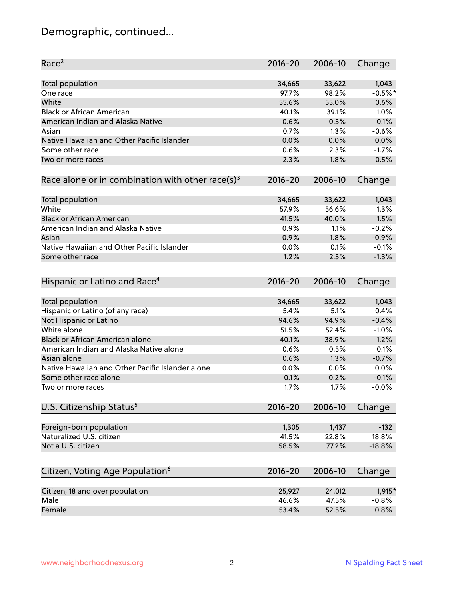# Demographic, continued...

| Race <sup>2</sup>                                            | $2016 - 20$ | 2006-10 | Change    |
|--------------------------------------------------------------|-------------|---------|-----------|
| <b>Total population</b>                                      | 34,665      | 33,622  | 1,043     |
| One race                                                     | 97.7%       | 98.2%   | $-0.5%$ * |
| White                                                        | 55.6%       | 55.0%   | 0.6%      |
| <b>Black or African American</b>                             | 40.1%       | 39.1%   | 1.0%      |
| American Indian and Alaska Native                            | 0.6%        | 0.5%    | 0.1%      |
| Asian                                                        | 0.7%        | 1.3%    | $-0.6%$   |
| Native Hawaiian and Other Pacific Islander                   | 0.0%        | 0.0%    | 0.0%      |
| Some other race                                              | 0.6%        | 2.3%    | $-1.7%$   |
| Two or more races                                            | 2.3%        | 1.8%    | 0.5%      |
|                                                              |             |         |           |
| Race alone or in combination with other race(s) <sup>3</sup> | $2016 - 20$ | 2006-10 | Change    |
|                                                              |             |         |           |
| Total population                                             | 34,665      | 33,622  | 1,043     |
| White                                                        | 57.9%       | 56.6%   | 1.3%      |
| <b>Black or African American</b>                             | 41.5%       | 40.0%   | 1.5%      |
| American Indian and Alaska Native                            | 0.9%        | 1.1%    | $-0.2%$   |
| Asian                                                        | 0.9%        | 1.8%    | $-0.9%$   |
| Native Hawaiian and Other Pacific Islander                   | 0.0%        | 0.1%    | $-0.1%$   |
| Some other race                                              | 1.2%        | 2.5%    | $-1.3%$   |
| Hispanic or Latino and Race <sup>4</sup>                     | $2016 - 20$ | 2006-10 | Change    |
|                                                              |             |         |           |
| <b>Total population</b>                                      | 34,665      | 33,622  | 1,043     |
| Hispanic or Latino (of any race)                             | 5.4%        | 5.1%    | 0.4%      |
| Not Hispanic or Latino                                       | 94.6%       | 94.9%   | $-0.4%$   |
| White alone                                                  | 51.5%       | 52.4%   | $-1.0%$   |
| Black or African American alone                              | 40.1%       | 38.9%   | 1.2%      |
| American Indian and Alaska Native alone                      | 0.6%        | 0.5%    | 0.1%      |
| Asian alone                                                  | 0.6%        | 1.3%    | $-0.7%$   |
| Native Hawaiian and Other Pacific Islander alone             | $0.0\%$     | 0.0%    | 0.0%      |
| Some other race alone                                        | 0.1%        | 0.2%    | $-0.1%$   |
| Two or more races                                            | 1.7%        | 1.7%    | $-0.0%$   |
| U.S. Citizenship Status <sup>5</sup>                         | $2016 - 20$ | 2006-10 | Change    |
|                                                              |             |         |           |
| Foreign-born population                                      | 1,305       | 1,437   | $-132$    |
| Naturalized U.S. citizen                                     | 41.5%       | 22.8%   | 18.8%     |
| Not a U.S. citizen                                           | 58.5%       | 77.2%   | $-18.8%$  |
| Citizen, Voting Age Population <sup>6</sup>                  | 2016-20     | 2006-10 | Change    |
|                                                              |             |         |           |
| Citizen, 18 and over population                              | 25,927      | 24,012  | 1,915*    |
| Male                                                         | 46.6%       | 47.5%   | $-0.8%$   |
| Female                                                       | 53.4%       | 52.5%   | 0.8%      |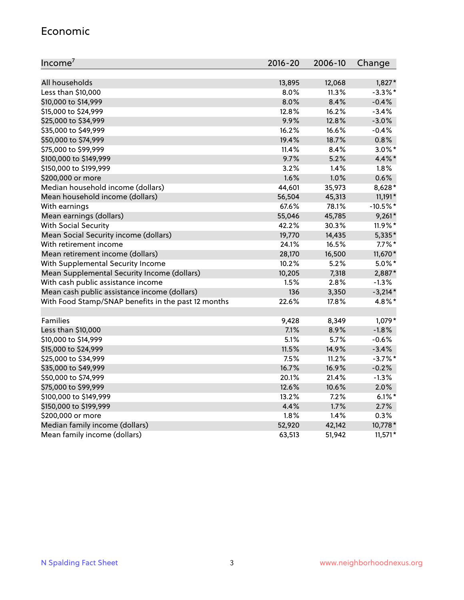#### Economic

| Income <sup>7</sup>                                 | 2016-20 | 2006-10 | Change     |
|-----------------------------------------------------|---------|---------|------------|
|                                                     |         |         |            |
| All households                                      | 13,895  | 12,068  | $1,827*$   |
| Less than \$10,000                                  | 8.0%    | 11.3%   | $-3.3\%$ * |
| \$10,000 to \$14,999                                | 8.0%    | 8.4%    | $-0.4%$    |
| \$15,000 to \$24,999                                | 12.8%   | 16.2%   | $-3.4%$    |
| \$25,000 to \$34,999                                | 9.9%    | 12.8%   | $-3.0%$    |
| \$35,000 to \$49,999                                | 16.2%   | 16.6%   | $-0.4%$    |
| \$50,000 to \$74,999                                | 19.4%   | 18.7%   | 0.8%       |
| \$75,000 to \$99,999                                | 11.4%   | 8.4%    | $3.0\%$ *  |
| \$100,000 to \$149,999                              | 9.7%    | 5.2%    | 4.4%*      |
| \$150,000 to \$199,999                              | 3.2%    | 1.4%    | 1.8%       |
| \$200,000 or more                                   | 1.6%    | 1.0%    | 0.6%       |
| Median household income (dollars)                   | 44,601  | 35,973  | 8,628*     |
| Mean household income (dollars)                     | 56,504  | 45,313  | 11,191*    |
| With earnings                                       | 67.6%   | 78.1%   | $-10.5%$ * |
| Mean earnings (dollars)                             | 55,046  | 45,785  | $9,261*$   |
| <b>With Social Security</b>                         | 42.2%   | 30.3%   | 11.9%*     |
| Mean Social Security income (dollars)               | 19,770  | 14,435  | 5,335*     |
| With retirement income                              | 24.1%   | 16.5%   | $7.7\%$ *  |
| Mean retirement income (dollars)                    | 28,170  | 16,500  | 11,670*    |
| With Supplemental Security Income                   | 10.2%   | 5.2%    | $5.0\%$ *  |
| Mean Supplemental Security Income (dollars)         | 10,205  | 7,318   | 2,887*     |
| With cash public assistance income                  | 1.5%    | 2.8%    | $-1.3%$    |
| Mean cash public assistance income (dollars)        | 136     | 3,350   | $-3,214*$  |
| With Food Stamp/SNAP benefits in the past 12 months | 22.6%   | 17.8%   | 4.8%*      |
|                                                     |         |         |            |
| Families                                            | 9,428   | 8,349   | 1,079*     |
| Less than \$10,000                                  | 7.1%    | 8.9%    | $-1.8%$    |
| \$10,000 to \$14,999                                | 5.1%    | 5.7%    | $-0.6%$    |
| \$15,000 to \$24,999                                | 11.5%   | 14.9%   | $-3.4%$    |
| \$25,000 to \$34,999                                | 7.5%    | 11.2%   | $-3.7%$ *  |
| \$35,000 to \$49,999                                | 16.7%   | 16.9%   | $-0.2%$    |
| \$50,000 to \$74,999                                | 20.1%   | 21.4%   | $-1.3%$    |
| \$75,000 to \$99,999                                | 12.6%   | 10.6%   | 2.0%       |
| \$100,000 to \$149,999                              | 13.2%   | $7.2\%$ | $6.1\%$ *  |
| \$150,000 to \$199,999                              | 4.4%    | 1.7%    | 2.7%       |
| \$200,000 or more                                   | 1.8%    | 1.4%    | 0.3%       |
| Median family income (dollars)                      | 52,920  | 42,142  | 10,778*    |
| Mean family income (dollars)                        | 63,513  | 51,942  | $11,571*$  |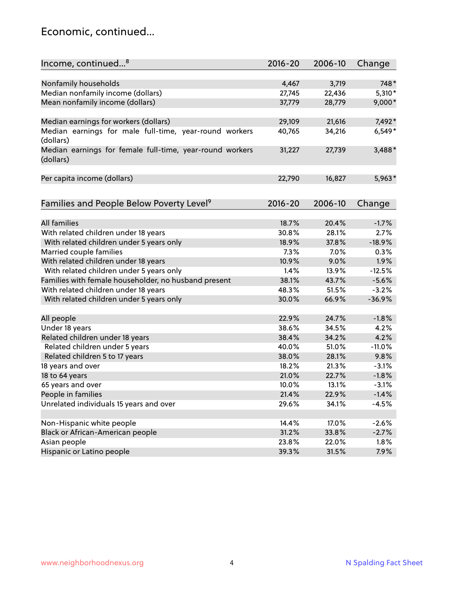#### Economic, continued...

| Nonfamily households<br>4,467<br>3,719<br>748*<br>Median nonfamily income (dollars)<br>5,310*<br>27,745<br>22,436<br>Mean nonfamily income (dollars)<br>37,779<br>28,779<br>$9,000*$<br>Median earnings for workers (dollars)<br>21,616<br>7,492*<br>29,109<br>Median earnings for male full-time, year-round workers<br>34,216<br>$6,549*$<br>40,765<br>(dollars)<br>3,488*<br>Median earnings for female full-time, year-round workers<br>31,227<br>27,739<br>(dollars)<br>Per capita income (dollars)<br>22,790<br>16,827<br>5,963*<br>Families and People Below Poverty Level <sup>9</sup><br>2016-20<br>2006-10<br>Change<br><b>All families</b><br>18.7%<br>20.4%<br>$-1.7%$<br>With related children under 18 years<br>30.8%<br>28.1%<br>2.7%<br>37.8%<br>$-18.9%$<br>With related children under 5 years only<br>18.9%<br>Married couple families<br>7.3%<br>0.3%<br>7.0%<br>With related children under 18 years<br>1.9%<br>10.9%<br>9.0%<br>With related children under 5 years only<br>1.4%<br>13.9%<br>$-12.5%$<br>Families with female householder, no husband present<br>38.1%<br>43.7%<br>$-5.6%$<br>With related children under 18 years<br>48.3%<br>$-3.2%$<br>51.5%<br>$-36.9%$<br>With related children under 5 years only<br>30.0%<br>66.9%<br>$-1.8%$<br>All people<br>22.9%<br>24.7%<br>Under 18 years<br>38.6%<br>4.2%<br>34.5%<br>4.2%<br>Related children under 18 years<br>38.4%<br>34.2%<br>Related children under 5 years<br>40.0%<br>51.0%<br>$-11.0%$<br>Related children 5 to 17 years<br>38.0%<br>28.1%<br>9.8%<br>18 years and over<br>18.2%<br>21.3%<br>$-3.1%$<br>18 to 64 years<br>21.0%<br>$-1.8%$<br>22.7%<br>65 years and over<br>10.0%<br>13.1%<br>$-3.1%$<br>21.4%<br>People in families<br>22.9%<br>$-1.4%$<br>Unrelated individuals 15 years and over<br>29.6%<br>34.1%<br>$-4.5%$<br>Non-Hispanic white people<br>14.4%<br>17.0%<br>$-2.6%$<br>Black or African-American people<br>31.2%<br>33.8%<br>$-2.7%$<br>23.8%<br>Asian people<br>22.0%<br>1.8% | Income, continued <sup>8</sup> | $2016 - 20$ | 2006-10 | Change |
|----------------------------------------------------------------------------------------------------------------------------------------------------------------------------------------------------------------------------------------------------------------------------------------------------------------------------------------------------------------------------------------------------------------------------------------------------------------------------------------------------------------------------------------------------------------------------------------------------------------------------------------------------------------------------------------------------------------------------------------------------------------------------------------------------------------------------------------------------------------------------------------------------------------------------------------------------------------------------------------------------------------------------------------------------------------------------------------------------------------------------------------------------------------------------------------------------------------------------------------------------------------------------------------------------------------------------------------------------------------------------------------------------------------------------------------------------------------------------------------------------------------------------------------------------------------------------------------------------------------------------------------------------------------------------------------------------------------------------------------------------------------------------------------------------------------------------------------------------------------------------------------------------------------------------------------------------------------------------------------------------|--------------------------------|-------------|---------|--------|
|                                                                                                                                                                                                                                                                                                                                                                                                                                                                                                                                                                                                                                                                                                                                                                                                                                                                                                                                                                                                                                                                                                                                                                                                                                                                                                                                                                                                                                                                                                                                                                                                                                                                                                                                                                                                                                                                                                                                                                                                    |                                |             |         |        |
|                                                                                                                                                                                                                                                                                                                                                                                                                                                                                                                                                                                                                                                                                                                                                                                                                                                                                                                                                                                                                                                                                                                                                                                                                                                                                                                                                                                                                                                                                                                                                                                                                                                                                                                                                                                                                                                                                                                                                                                                    |                                |             |         |        |
|                                                                                                                                                                                                                                                                                                                                                                                                                                                                                                                                                                                                                                                                                                                                                                                                                                                                                                                                                                                                                                                                                                                                                                                                                                                                                                                                                                                                                                                                                                                                                                                                                                                                                                                                                                                                                                                                                                                                                                                                    |                                |             |         |        |
|                                                                                                                                                                                                                                                                                                                                                                                                                                                                                                                                                                                                                                                                                                                                                                                                                                                                                                                                                                                                                                                                                                                                                                                                                                                                                                                                                                                                                                                                                                                                                                                                                                                                                                                                                                                                                                                                                                                                                                                                    |                                |             |         |        |
|                                                                                                                                                                                                                                                                                                                                                                                                                                                                                                                                                                                                                                                                                                                                                                                                                                                                                                                                                                                                                                                                                                                                                                                                                                                                                                                                                                                                                                                                                                                                                                                                                                                                                                                                                                                                                                                                                                                                                                                                    |                                |             |         |        |
|                                                                                                                                                                                                                                                                                                                                                                                                                                                                                                                                                                                                                                                                                                                                                                                                                                                                                                                                                                                                                                                                                                                                                                                                                                                                                                                                                                                                                                                                                                                                                                                                                                                                                                                                                                                                                                                                                                                                                                                                    |                                |             |         |        |
|                                                                                                                                                                                                                                                                                                                                                                                                                                                                                                                                                                                                                                                                                                                                                                                                                                                                                                                                                                                                                                                                                                                                                                                                                                                                                                                                                                                                                                                                                                                                                                                                                                                                                                                                                                                                                                                                                                                                                                                                    |                                |             |         |        |
|                                                                                                                                                                                                                                                                                                                                                                                                                                                                                                                                                                                                                                                                                                                                                                                                                                                                                                                                                                                                                                                                                                                                                                                                                                                                                                                                                                                                                                                                                                                                                                                                                                                                                                                                                                                                                                                                                                                                                                                                    |                                |             |         |        |
|                                                                                                                                                                                                                                                                                                                                                                                                                                                                                                                                                                                                                                                                                                                                                                                                                                                                                                                                                                                                                                                                                                                                                                                                                                                                                                                                                                                                                                                                                                                                                                                                                                                                                                                                                                                                                                                                                                                                                                                                    |                                |             |         |        |
|                                                                                                                                                                                                                                                                                                                                                                                                                                                                                                                                                                                                                                                                                                                                                                                                                                                                                                                                                                                                                                                                                                                                                                                                                                                                                                                                                                                                                                                                                                                                                                                                                                                                                                                                                                                                                                                                                                                                                                                                    |                                |             |         |        |
|                                                                                                                                                                                                                                                                                                                                                                                                                                                                                                                                                                                                                                                                                                                                                                                                                                                                                                                                                                                                                                                                                                                                                                                                                                                                                                                                                                                                                                                                                                                                                                                                                                                                                                                                                                                                                                                                                                                                                                                                    |                                |             |         |        |
|                                                                                                                                                                                                                                                                                                                                                                                                                                                                                                                                                                                                                                                                                                                                                                                                                                                                                                                                                                                                                                                                                                                                                                                                                                                                                                                                                                                                                                                                                                                                                                                                                                                                                                                                                                                                                                                                                                                                                                                                    |                                |             |         |        |
|                                                                                                                                                                                                                                                                                                                                                                                                                                                                                                                                                                                                                                                                                                                                                                                                                                                                                                                                                                                                                                                                                                                                                                                                                                                                                                                                                                                                                                                                                                                                                                                                                                                                                                                                                                                                                                                                                                                                                                                                    |                                |             |         |        |
|                                                                                                                                                                                                                                                                                                                                                                                                                                                                                                                                                                                                                                                                                                                                                                                                                                                                                                                                                                                                                                                                                                                                                                                                                                                                                                                                                                                                                                                                                                                                                                                                                                                                                                                                                                                                                                                                                                                                                                                                    |                                |             |         |        |
|                                                                                                                                                                                                                                                                                                                                                                                                                                                                                                                                                                                                                                                                                                                                                                                                                                                                                                                                                                                                                                                                                                                                                                                                                                                                                                                                                                                                                                                                                                                                                                                                                                                                                                                                                                                                                                                                                                                                                                                                    |                                |             |         |        |
|                                                                                                                                                                                                                                                                                                                                                                                                                                                                                                                                                                                                                                                                                                                                                                                                                                                                                                                                                                                                                                                                                                                                                                                                                                                                                                                                                                                                                                                                                                                                                                                                                                                                                                                                                                                                                                                                                                                                                                                                    |                                |             |         |        |
|                                                                                                                                                                                                                                                                                                                                                                                                                                                                                                                                                                                                                                                                                                                                                                                                                                                                                                                                                                                                                                                                                                                                                                                                                                                                                                                                                                                                                                                                                                                                                                                                                                                                                                                                                                                                                                                                                                                                                                                                    |                                |             |         |        |
|                                                                                                                                                                                                                                                                                                                                                                                                                                                                                                                                                                                                                                                                                                                                                                                                                                                                                                                                                                                                                                                                                                                                                                                                                                                                                                                                                                                                                                                                                                                                                                                                                                                                                                                                                                                                                                                                                                                                                                                                    |                                |             |         |        |
|                                                                                                                                                                                                                                                                                                                                                                                                                                                                                                                                                                                                                                                                                                                                                                                                                                                                                                                                                                                                                                                                                                                                                                                                                                                                                                                                                                                                                                                                                                                                                                                                                                                                                                                                                                                                                                                                                                                                                                                                    |                                |             |         |        |
|                                                                                                                                                                                                                                                                                                                                                                                                                                                                                                                                                                                                                                                                                                                                                                                                                                                                                                                                                                                                                                                                                                                                                                                                                                                                                                                                                                                                                                                                                                                                                                                                                                                                                                                                                                                                                                                                                                                                                                                                    |                                |             |         |        |
|                                                                                                                                                                                                                                                                                                                                                                                                                                                                                                                                                                                                                                                                                                                                                                                                                                                                                                                                                                                                                                                                                                                                                                                                                                                                                                                                                                                                                                                                                                                                                                                                                                                                                                                                                                                                                                                                                                                                                                                                    |                                |             |         |        |
|                                                                                                                                                                                                                                                                                                                                                                                                                                                                                                                                                                                                                                                                                                                                                                                                                                                                                                                                                                                                                                                                                                                                                                                                                                                                                                                                                                                                                                                                                                                                                                                                                                                                                                                                                                                                                                                                                                                                                                                                    |                                |             |         |        |
|                                                                                                                                                                                                                                                                                                                                                                                                                                                                                                                                                                                                                                                                                                                                                                                                                                                                                                                                                                                                                                                                                                                                                                                                                                                                                                                                                                                                                                                                                                                                                                                                                                                                                                                                                                                                                                                                                                                                                                                                    |                                |             |         |        |
|                                                                                                                                                                                                                                                                                                                                                                                                                                                                                                                                                                                                                                                                                                                                                                                                                                                                                                                                                                                                                                                                                                                                                                                                                                                                                                                                                                                                                                                                                                                                                                                                                                                                                                                                                                                                                                                                                                                                                                                                    |                                |             |         |        |
|                                                                                                                                                                                                                                                                                                                                                                                                                                                                                                                                                                                                                                                                                                                                                                                                                                                                                                                                                                                                                                                                                                                                                                                                                                                                                                                                                                                                                                                                                                                                                                                                                                                                                                                                                                                                                                                                                                                                                                                                    |                                |             |         |        |
|                                                                                                                                                                                                                                                                                                                                                                                                                                                                                                                                                                                                                                                                                                                                                                                                                                                                                                                                                                                                                                                                                                                                                                                                                                                                                                                                                                                                                                                                                                                                                                                                                                                                                                                                                                                                                                                                                                                                                                                                    |                                |             |         |        |
|                                                                                                                                                                                                                                                                                                                                                                                                                                                                                                                                                                                                                                                                                                                                                                                                                                                                                                                                                                                                                                                                                                                                                                                                                                                                                                                                                                                                                                                                                                                                                                                                                                                                                                                                                                                                                                                                                                                                                                                                    |                                |             |         |        |
|                                                                                                                                                                                                                                                                                                                                                                                                                                                                                                                                                                                                                                                                                                                                                                                                                                                                                                                                                                                                                                                                                                                                                                                                                                                                                                                                                                                                                                                                                                                                                                                                                                                                                                                                                                                                                                                                                                                                                                                                    |                                |             |         |        |
|                                                                                                                                                                                                                                                                                                                                                                                                                                                                                                                                                                                                                                                                                                                                                                                                                                                                                                                                                                                                                                                                                                                                                                                                                                                                                                                                                                                                                                                                                                                                                                                                                                                                                                                                                                                                                                                                                                                                                                                                    |                                |             |         |        |
|                                                                                                                                                                                                                                                                                                                                                                                                                                                                                                                                                                                                                                                                                                                                                                                                                                                                                                                                                                                                                                                                                                                                                                                                                                                                                                                                                                                                                                                                                                                                                                                                                                                                                                                                                                                                                                                                                                                                                                                                    |                                |             |         |        |
|                                                                                                                                                                                                                                                                                                                                                                                                                                                                                                                                                                                                                                                                                                                                                                                                                                                                                                                                                                                                                                                                                                                                                                                                                                                                                                                                                                                                                                                                                                                                                                                                                                                                                                                                                                                                                                                                                                                                                                                                    |                                |             |         |        |
|                                                                                                                                                                                                                                                                                                                                                                                                                                                                                                                                                                                                                                                                                                                                                                                                                                                                                                                                                                                                                                                                                                                                                                                                                                                                                                                                                                                                                                                                                                                                                                                                                                                                                                                                                                                                                                                                                                                                                                                                    |                                |             |         |        |
|                                                                                                                                                                                                                                                                                                                                                                                                                                                                                                                                                                                                                                                                                                                                                                                                                                                                                                                                                                                                                                                                                                                                                                                                                                                                                                                                                                                                                                                                                                                                                                                                                                                                                                                                                                                                                                                                                                                                                                                                    |                                |             |         |        |
|                                                                                                                                                                                                                                                                                                                                                                                                                                                                                                                                                                                                                                                                                                                                                                                                                                                                                                                                                                                                                                                                                                                                                                                                                                                                                                                                                                                                                                                                                                                                                                                                                                                                                                                                                                                                                                                                                                                                                                                                    |                                |             |         |        |
|                                                                                                                                                                                                                                                                                                                                                                                                                                                                                                                                                                                                                                                                                                                                                                                                                                                                                                                                                                                                                                                                                                                                                                                                                                                                                                                                                                                                                                                                                                                                                                                                                                                                                                                                                                                                                                                                                                                                                                                                    |                                |             |         |        |
|                                                                                                                                                                                                                                                                                                                                                                                                                                                                                                                                                                                                                                                                                                                                                                                                                                                                                                                                                                                                                                                                                                                                                                                                                                                                                                                                                                                                                                                                                                                                                                                                                                                                                                                                                                                                                                                                                                                                                                                                    |                                |             |         |        |
|                                                                                                                                                                                                                                                                                                                                                                                                                                                                                                                                                                                                                                                                                                                                                                                                                                                                                                                                                                                                                                                                                                                                                                                                                                                                                                                                                                                                                                                                                                                                                                                                                                                                                                                                                                                                                                                                                                                                                                                                    |                                |             |         |        |
|                                                                                                                                                                                                                                                                                                                                                                                                                                                                                                                                                                                                                                                                                                                                                                                                                                                                                                                                                                                                                                                                                                                                                                                                                                                                                                                                                                                                                                                                                                                                                                                                                                                                                                                                                                                                                                                                                                                                                                                                    |                                |             |         |        |
|                                                                                                                                                                                                                                                                                                                                                                                                                                                                                                                                                                                                                                                                                                                                                                                                                                                                                                                                                                                                                                                                                                                                                                                                                                                                                                                                                                                                                                                                                                                                                                                                                                                                                                                                                                                                                                                                                                                                                                                                    |                                |             |         |        |
|                                                                                                                                                                                                                                                                                                                                                                                                                                                                                                                                                                                                                                                                                                                                                                                                                                                                                                                                                                                                                                                                                                                                                                                                                                                                                                                                                                                                                                                                                                                                                                                                                                                                                                                                                                                                                                                                                                                                                                                                    | Hispanic or Latino people      | 39.3%       | 31.5%   | 7.9%   |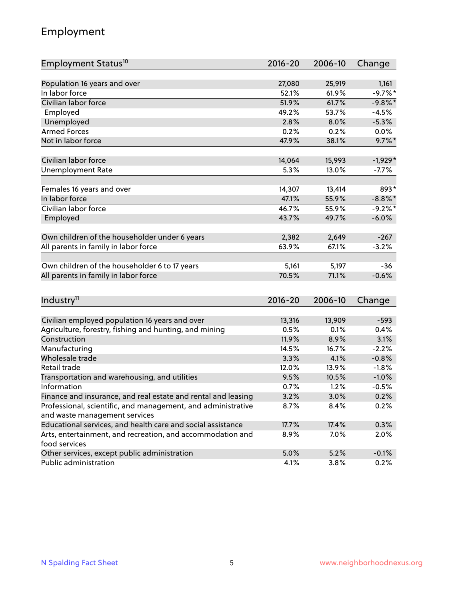## Employment

| Employment Status <sup>10</sup>                               | 2016-20     | 2006-10 | Change     |
|---------------------------------------------------------------|-------------|---------|------------|
|                                                               |             |         |            |
| Population 16 years and over                                  | 27,080      | 25,919  | 1,161      |
| In labor force                                                | 52.1%       | 61.9%   | $-9.7%$ *  |
| Civilian labor force                                          | 51.9%       | 61.7%   | $-9.8\%$ * |
| Employed                                                      | 49.2%       | 53.7%   | $-4.5%$    |
| Unemployed                                                    | 2.8%        | 8.0%    | $-5.3%$    |
| <b>Armed Forces</b>                                           | 0.2%        | 0.2%    | $0.0\%$    |
| Not in labor force                                            | 47.9%       | 38.1%   | $9.7\%$ *  |
| Civilian labor force                                          | 14,064      | 15,993  | $-1,929*$  |
| <b>Unemployment Rate</b>                                      | 5.3%        | 13.0%   | $-7.7\%$   |
|                                                               |             |         |            |
| Females 16 years and over                                     | 14,307      | 13,414  | 893*       |
| In labor force                                                | 47.1%       | 55.9%   | $-8.8\%$ * |
| Civilian labor force                                          | 46.7%       | 55.9%   | $-9.2%$    |
| Employed                                                      | 43.7%       | 49.7%   | $-6.0%$    |
| Own children of the householder under 6 years                 | 2,382       | 2,649   | $-267$     |
| All parents in family in labor force                          | 63.9%       | 67.1%   | $-3.2%$    |
|                                                               |             |         |            |
| Own children of the householder 6 to 17 years                 | 5,161       | 5,197   | $-36$      |
| All parents in family in labor force                          | 70.5%       | 71.1%   | $-0.6%$    |
|                                                               |             |         |            |
| Industry <sup>11</sup>                                        | $2016 - 20$ | 2006-10 | Change     |
|                                                               |             |         |            |
| Civilian employed population 16 years and over                | 13,316      | 13,909  | $-593$     |
| Agriculture, forestry, fishing and hunting, and mining        | 0.5%        | 0.1%    | 0.4%       |
| Construction                                                  | 11.9%       | 8.9%    | 3.1%       |
| Manufacturing                                                 | 14.5%       | 16.7%   | $-2.2%$    |
| Wholesale trade                                               | 3.3%        | 4.1%    | $-0.8%$    |
| Retail trade                                                  | 12.0%       | 13.9%   | $-1.8%$    |
| Transportation and warehousing, and utilities                 | 9.5%        | 10.5%   | $-1.0%$    |
| Information                                                   | 0.7%        | 1.2%    | $-0.5%$    |
| Finance and insurance, and real estate and rental and leasing | 3.2%        | 3.0%    | 0.2%       |
| Professional, scientific, and management, and administrative  | 8.7%        | 8.4%    | 0.2%       |
| and waste management services                                 |             |         |            |
| Educational services, and health care and social assistance   | 17.7%       | 17.4%   | 0.3%       |
| Arts, entertainment, and recreation, and accommodation and    | 8.9%        | 7.0%    | 2.0%       |
| food services                                                 |             |         |            |
| Other services, except public administration                  | 5.0%        | 5.2%    | $-0.1%$    |
| Public administration                                         | 4.1%        | 3.8%    | 0.2%       |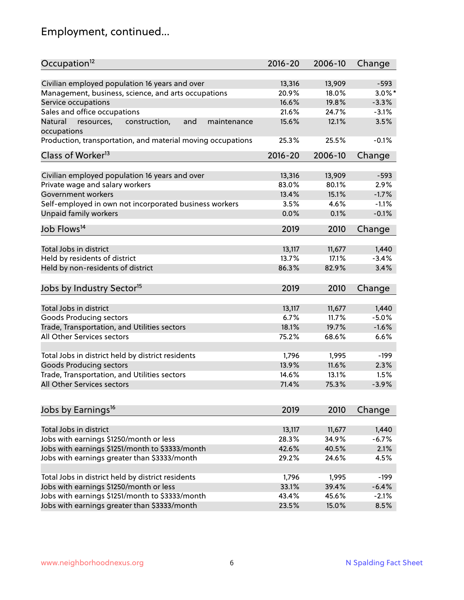# Employment, continued...

| Occupation <sup>12</sup>                                                    | $2016 - 20$     | 2006-10 | Change    |
|-----------------------------------------------------------------------------|-----------------|---------|-----------|
| Civilian employed population 16 years and over                              |                 | 13,909  | $-593$    |
|                                                                             | 13,316<br>20.9% | 18.0%   | $3.0\%$ * |
| Management, business, science, and arts occupations                         | 16.6%           |         |           |
| Service occupations                                                         |                 | 19.8%   | $-3.3%$   |
| Sales and office occupations                                                | 21.6%           | 24.7%   | $-3.1%$   |
| Natural<br>and<br>maintenance<br>resources,<br>construction,<br>occupations | 15.6%           | 12.1%   | 3.5%      |
| Production, transportation, and material moving occupations                 | 25.3%           | 25.5%   | $-0.1%$   |
| Class of Worker <sup>13</sup>                                               | $2016 - 20$     | 2006-10 | Change    |
|                                                                             |                 |         |           |
| Civilian employed population 16 years and over                              | 13,316          | 13,909  | $-593$    |
| Private wage and salary workers                                             | 83.0%           | 80.1%   | 2.9%      |
| Government workers                                                          | 13.4%           | 15.1%   | $-1.7%$   |
| Self-employed in own not incorporated business workers                      | 3.5%            | 4.6%    | $-1.1%$   |
| Unpaid family workers                                                       | 0.0%            | 0.1%    | $-0.1%$   |
| Job Flows <sup>14</sup>                                                     | 2019            | 2010    | Change    |
|                                                                             |                 |         |           |
| Total Jobs in district                                                      | 13,117          | 11,677  | 1,440     |
| Held by residents of district                                               | 13.7%           | 17.1%   | $-3.4%$   |
| Held by non-residents of district                                           | 86.3%           | 82.9%   | 3.4%      |
|                                                                             |                 |         |           |
| Jobs by Industry Sector <sup>15</sup>                                       | 2019            | 2010    | Change    |
| Total Jobs in district                                                      | 13,117          | 11,677  | 1,440     |
| Goods Producing sectors                                                     | 6.7%            | 11.7%   | $-5.0%$   |
| Trade, Transportation, and Utilities sectors                                | 18.1%           | 19.7%   | $-1.6%$   |
| All Other Services sectors                                                  | 75.2%           | 68.6%   | 6.6%      |
|                                                                             |                 |         |           |
| Total Jobs in district held by district residents                           | 1,796           | 1,995   | $-199$    |
| <b>Goods Producing sectors</b>                                              | 13.9%           | 11.6%   | 2.3%      |
| Trade, Transportation, and Utilities sectors                                | 14.6%           | 13.1%   | 1.5%      |
| All Other Services sectors                                                  | 71.4%           | 75.3%   | $-3.9%$   |
|                                                                             |                 |         |           |
| Jobs by Earnings <sup>16</sup>                                              | 2019            | 2010    | Change    |
|                                                                             |                 |         |           |
| Total Jobs in district                                                      | 13,117          | 11,677  | 1,440     |
| Jobs with earnings \$1250/month or less                                     | 28.3%           | 34.9%   | $-6.7%$   |
| Jobs with earnings \$1251/month to \$3333/month                             | 42.6%           | 40.5%   | 2.1%      |
| Jobs with earnings greater than \$3333/month                                | 29.2%           | 24.6%   | 4.5%      |
|                                                                             |                 |         |           |
| Total Jobs in district held by district residents                           | 1,796           | 1,995   | $-199$    |
| Jobs with earnings \$1250/month or less                                     | 33.1%           | 39.4%   | $-6.4%$   |
| Jobs with earnings \$1251/month to \$3333/month                             | 43.4%           | 45.6%   | $-2.1%$   |
| Jobs with earnings greater than \$3333/month                                | 23.5%           | 15.0%   | 8.5%      |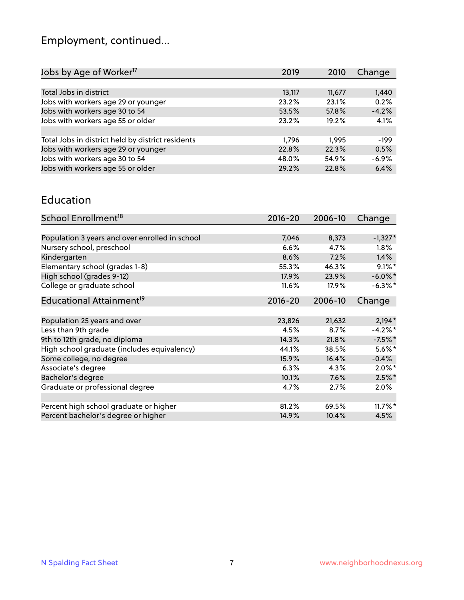# Employment, continued...

| 2019   | 2010   | Change                  |
|--------|--------|-------------------------|
|        |        |                         |
| 13,117 | 11,677 | 1,440                   |
| 23.2%  | 23.1%  | 0.2%                    |
| 53.5%  | 57.8%  | $-4.2%$                 |
| 23.2%  | 19.2%  | 4.1%                    |
|        |        |                         |
| 1.796  | 1.995  | $-199$                  |
| 22.8%  |        | 0.5%                    |
| 48.0%  |        | $-6.9%$                 |
| 29.2%  |        | 6.4%                    |
|        |        | 22.3%<br>54.9%<br>22.8% |

#### Education

| School Enrollment <sup>18</sup>                | $2016 - 20$ | 2006-10 | Change     |
|------------------------------------------------|-------------|---------|------------|
|                                                |             |         |            |
| Population 3 years and over enrolled in school | 7,046       | 8,373   | $-1,327*$  |
| Nursery school, preschool                      | 6.6%        | 4.7%    | $1.8\%$    |
| Kindergarten                                   | 8.6%        | 7.2%    | 1.4%       |
| Elementary school (grades 1-8)                 | 55.3%       | 46.3%   | $9.1\%$ *  |
| High school (grades 9-12)                      | 17.9%       | 23.9%   | $-6.0\%$ * |
| College or graduate school                     | 11.6%       | 17.9%   | $-6.3\%$ * |
| Educational Attainment <sup>19</sup>           | $2016 - 20$ | 2006-10 | Change     |
|                                                |             |         |            |
| Population 25 years and over                   | 23,826      | 21,632  | $2,194*$   |
| Less than 9th grade                            | 4.5%        | 8.7%    | $-4.2%$ *  |
| 9th to 12th grade, no diploma                  | 14.3%       | 21.8%   | $-7.5%$ *  |
| High school graduate (includes equivalency)    | 44.1%       | 38.5%   | $5.6\%$ *  |
| Some college, no degree                        | 15.9%       | 16.4%   | $-0.4%$    |
| Associate's degree                             | 6.3%        | 4.3%    | $2.0\%$ *  |
| Bachelor's degree                              | 10.1%       | 7.6%    | $2.5\%$ *  |
| Graduate or professional degree                | 4.7%        | 2.7%    | $2.0\%$    |
|                                                |             |         |            |
| Percent high school graduate or higher         | 81.2%       | 69.5%   | $11.7\%$ * |
| Percent bachelor's degree or higher            | 14.9%       | 10.4%   | 4.5%       |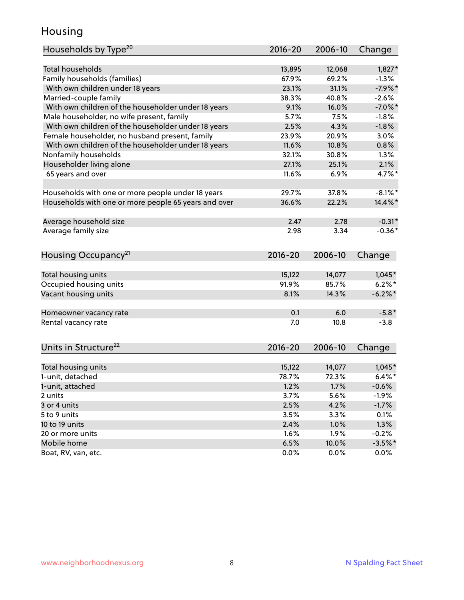## Housing

| Households by Type <sup>20</sup>                     | 2016-20     | 2006-10 | Change     |
|------------------------------------------------------|-------------|---------|------------|
|                                                      |             |         |            |
| <b>Total households</b>                              | 13,895      | 12,068  | $1,827*$   |
| Family households (families)                         | 67.9%       | 69.2%   | $-1.3%$    |
| With own children under 18 years                     | 23.1%       | 31.1%   | $-7.9%$ *  |
| Married-couple family                                | 38.3%       | 40.8%   | $-2.6%$    |
| With own children of the householder under 18 years  | 9.1%        | 16.0%   | $-7.0\%$ * |
| Male householder, no wife present, family            | 5.7%        | 7.5%    | $-1.8%$    |
| With own children of the householder under 18 years  | 2.5%        | 4.3%    | $-1.8%$    |
| Female householder, no husband present, family       | 23.9%       | 20.9%   | 3.0%       |
| With own children of the householder under 18 years  | 11.6%       | 10.8%   | 0.8%       |
| Nonfamily households                                 | 32.1%       | 30.8%   | 1.3%       |
| Householder living alone                             | 27.1%       | 25.1%   | 2.1%       |
| 65 years and over                                    | 11.6%       | 6.9%    | 4.7%*      |
|                                                      |             |         |            |
| Households with one or more people under 18 years    | 29.7%       | 37.8%   | $-8.1\%$ * |
| Households with one or more people 65 years and over | 36.6%       | 22.2%   | 14.4%*     |
| Average household size                               | 2.47        | 2.78    | $-0.31*$   |
| Average family size                                  | 2.98        | 3.34    | $-0.36*$   |
|                                                      |             |         |            |
| Housing Occupancy <sup>21</sup>                      | $2016 - 20$ | 2006-10 | Change     |
|                                                      |             |         |            |
| Total housing units                                  | 15,122      | 14,077  | $1,045*$   |
| Occupied housing units                               | 91.9%       | 85.7%   | $6.2%$ *   |
| Vacant housing units                                 | 8.1%        | 14.3%   | $-6.2\%$ * |
| Homeowner vacancy rate                               | 0.1         | 6.0     | $-5.8*$    |
| Rental vacancy rate                                  | 7.0         | 10.8    | $-3.8$     |
|                                                      |             |         |            |
| Units in Structure <sup>22</sup>                     | $2016 - 20$ | 2006-10 | Change     |
| Total housing units                                  | 15,122      | 14,077  | $1,045*$   |
| 1-unit, detached                                     | 78.7%       | 72.3%   | $6.4\%$ *  |
| 1-unit, attached                                     | 1.2%        | 1.7%    | $-0.6%$    |
| 2 units                                              | 3.7%        | 5.6%    | $-1.9%$    |
| 3 or 4 units                                         | 2.5%        | 4.2%    | $-1.7%$    |
| 5 to 9 units                                         | 3.5%        | 3.3%    | 0.1%       |
|                                                      |             |         |            |
| 10 to 19 units<br>20 or more units                   | 2.4%        | 1.0%    | 1.3%       |
|                                                      | 1.6%        | 1.9%    | $-0.2%$    |
| Mobile home                                          | 6.5%        | 10.0%   | $-3.5%$ *  |
| Boat, RV, van, etc.                                  | 0.0%        | 0.0%    | $0.0\%$    |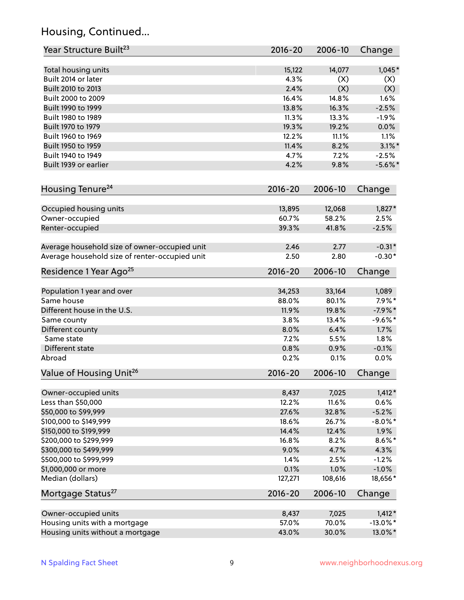## Housing, Continued...

| Year Structure Built <sup>23</sup>             | 2016-20     | 2006-10 | Change      |
|------------------------------------------------|-------------|---------|-------------|
| Total housing units                            | 15,122      | 14,077  | $1,045*$    |
| Built 2014 or later                            | 4.3%        | (X)     | (X)         |
| Built 2010 to 2013                             | 2.4%        | (X)     | (X)         |
| Built 2000 to 2009                             | 16.4%       | 14.8%   | 1.6%        |
| Built 1990 to 1999                             | 13.8%       | 16.3%   | $-2.5%$     |
| Built 1980 to 1989                             | 11.3%       | 13.3%   | $-1.9%$     |
| Built 1970 to 1979                             | 19.3%       | 19.2%   | 0.0%        |
| Built 1960 to 1969                             | 12.2%       | 11.1%   | 1.1%        |
| Built 1950 to 1959                             | 11.4%       | 8.2%    | $3.1\%$ *   |
| Built 1940 to 1949                             | 4.7%        | 7.2%    | $-2.5%$     |
| Built 1939 or earlier                          | 4.2%        | 9.8%    | $-5.6\%$ *  |
|                                                |             |         |             |
| Housing Tenure <sup>24</sup>                   | $2016 - 20$ | 2006-10 | Change      |
| Occupied housing units                         | 13,895      | 12,068  | $1,827*$    |
| Owner-occupied                                 | 60.7%       | 58.2%   | 2.5%        |
| Renter-occupied                                | 39.3%       | 41.8%   | $-2.5%$     |
| Average household size of owner-occupied unit  | 2.46        | 2.77    | $-0.31*$    |
| Average household size of renter-occupied unit | 2.50        | 2.80    | $-0.30*$    |
| Residence 1 Year Ago <sup>25</sup>             | $2016 - 20$ | 2006-10 | Change      |
|                                                |             |         |             |
| Population 1 year and over                     | 34,253      | 33,164  | 1,089       |
| Same house                                     | 88.0%       | 80.1%   | $7.9\%$ *   |
| Different house in the U.S.                    | 11.9%       | 19.8%   | $-7.9%$ *   |
| Same county                                    | 3.8%        | 13.4%   | $-9.6%$ *   |
| Different county                               | 8.0%        | 6.4%    | 1.7%        |
| Same state                                     | 7.2%        | 5.5%    | 1.8%        |
| Different state                                | 0.8%        | 0.9%    | $-0.1%$     |
| Abroad                                         | 0.2%        | 0.1%    | 0.0%        |
| Value of Housing Unit <sup>26</sup>            | $2016 - 20$ | 2006-10 | Change      |
| Owner-occupied units                           | 8,437       | 7,025   | $1,412*$    |
| Less than \$50,000                             | 12.2%       | 11.6%   | 0.6%        |
| \$50,000 to \$99,999                           | 27.6%       | 32.8%   | $-5.2%$     |
| \$100,000 to \$149,999                         | 18.6%       | 26.7%   | $-8.0\%$ *  |
| \$150,000 to \$199,999                         | 14.4%       | 12.4%   | 1.9%        |
| \$200,000 to \$299,999                         | 16.8%       | 8.2%    | $8.6\%$ *   |
| \$300,000 to \$499,999                         | 9.0%        | 4.7%    | 4.3%        |
| \$500,000 to \$999,999                         | 1.4%        | 2.5%    | $-1.2%$     |
| \$1,000,000 or more                            | 0.1%        | 1.0%    | $-1.0%$     |
| Median (dollars)                               | 127,271     | 108,616 | 18,656*     |
| Mortgage Status <sup>27</sup>                  | $2016 - 20$ | 2006-10 | Change      |
| Owner-occupied units                           | 8,437       | 7,025   | $1,412*$    |
| Housing units with a mortgage                  | 57.0%       | 70.0%   | $-13.0\%$ * |
| Housing units without a mortgage               | 43.0%       | 30.0%   | 13.0%*      |
|                                                |             |         |             |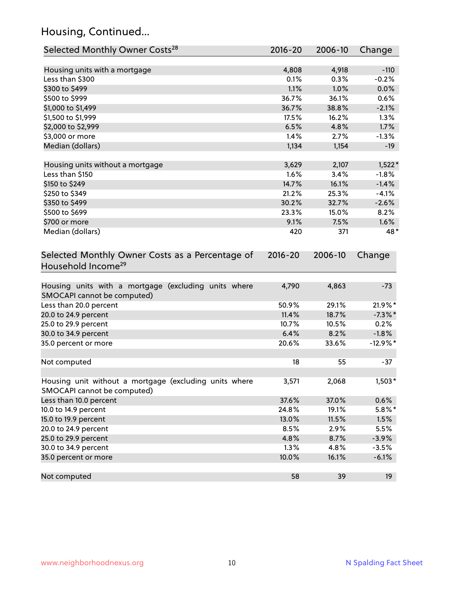## Housing, Continued...

| Selected Monthly Owner Costs <sup>28</sup>                                            | 2016-20 | 2006-10 | Change     |
|---------------------------------------------------------------------------------------|---------|---------|------------|
| Housing units with a mortgage                                                         | 4,808   | 4,918   | $-110$     |
| Less than \$300                                                                       | 0.1%    | 0.3%    | $-0.2%$    |
| \$300 to \$499                                                                        | 1.1%    | 1.0%    | 0.0%       |
| \$500 to \$999                                                                        | 36.7%   | 36.1%   | 0.6%       |
| \$1,000 to \$1,499                                                                    | 36.7%   | 38.8%   | $-2.1%$    |
| \$1,500 to \$1,999                                                                    | 17.5%   | 16.2%   | 1.3%       |
| \$2,000 to \$2,999                                                                    | 6.5%    | 4.8%    | 1.7%       |
| \$3,000 or more                                                                       | 1.4%    | 2.7%    | $-1.3%$    |
| Median (dollars)                                                                      | 1,134   | 1,154   | $-19$      |
| Housing units without a mortgage                                                      | 3,629   | 2,107   | $1,522*$   |
| Less than \$150                                                                       | 1.6%    | 3.4%    | $-1.8%$    |
| \$150 to \$249                                                                        | 14.7%   | 16.1%   | $-1.4%$    |
| \$250 to \$349                                                                        | 21.2%   | 25.3%   | $-4.1%$    |
| \$350 to \$499                                                                        | 30.2%   | 32.7%   | $-2.6%$    |
| \$500 to \$699                                                                        | 23.3%   | 15.0%   | 8.2%       |
| \$700 or more                                                                         | 9.1%    | 7.5%    | 1.6%       |
| Median (dollars)                                                                      | 420     | 371     | 48*        |
| Selected Monthly Owner Costs as a Percentage of<br>Household Income <sup>29</sup>     |         |         | Change     |
| Housing units with a mortgage (excluding units where<br>SMOCAPI cannot be computed)   | 4,790   | 4,863   | $-73$      |
| Less than 20.0 percent                                                                | 50.9%   | 29.1%   | 21.9%*     |
| 20.0 to 24.9 percent                                                                  | 11.4%   | 18.7%   | $-7.3\%$ * |
| 25.0 to 29.9 percent                                                                  | 10.7%   | 10.5%   | 0.2%       |
| 30.0 to 34.9 percent                                                                  | 6.4%    | 8.2%    | $-1.8%$    |
| 35.0 percent or more                                                                  | 20.6%   | 33.6%   | $-12.9%$ * |
| Not computed                                                                          | 18      | 55      | $-37$      |
| Housing unit without a mortgage (excluding units where<br>SMOCAPI cannot be computed) | 3,571   | 2,068   | $1,503*$   |
| Less than 10.0 percent                                                                | 37.6%   | 37.0%   | 0.6%       |
| 10.0 to 14.9 percent                                                                  | 24.8%   | 19.1%   | 5.8%*      |
| 15.0 to 19.9 percent                                                                  | 13.0%   | 11.5%   | 1.5%       |
| 20.0 to 24.9 percent                                                                  | 8.5%    | 2.9%    | 5.5%       |
| 25.0 to 29.9 percent                                                                  | 4.8%    | 8.7%    | $-3.9%$    |
| 30.0 to 34.9 percent                                                                  | 1.3%    | 4.8%    | $-3.5%$    |
| 35.0 percent or more                                                                  | 10.0%   | 16.1%   | $-6.1%$    |
| Not computed                                                                          | 58      | 39      | 19         |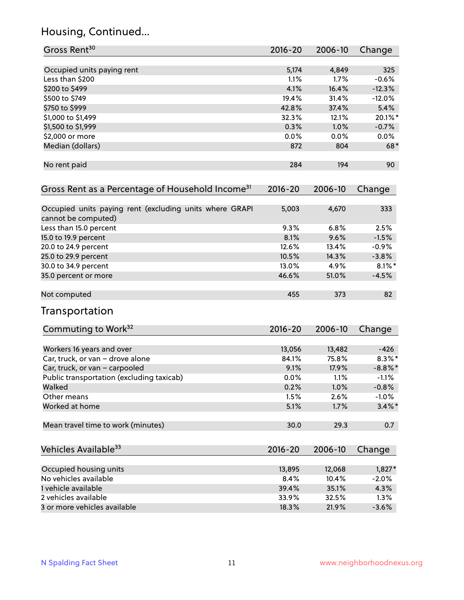## Housing, Continued...

| Gross Rent <sup>30</sup>                                                       | 2016-20     | 2006-10 | Change     |
|--------------------------------------------------------------------------------|-------------|---------|------------|
|                                                                                |             |         |            |
| Occupied units paying rent                                                     | 5,174       | 4,849   | 325        |
| Less than \$200                                                                | 1.1%        | 1.7%    | $-0.6%$    |
| \$200 to \$499                                                                 | 4.1%        | 16.4%   | $-12.3%$   |
| \$500 to \$749                                                                 | 19.4%       | 31.4%   | $-12.0%$   |
| \$750 to \$999                                                                 | 42.8%       | 37.4%   | 5.4%       |
| \$1,000 to \$1,499                                                             | 32.3%       | 12.1%   | 20.1%*     |
| \$1,500 to \$1,999                                                             | 0.3%        | 1.0%    | $-0.7%$    |
| \$2,000 or more                                                                | 0.0%        | 0.0%    | $0.0\%$    |
| Median (dollars)                                                               | 872         | 804     | $68*$      |
| No rent paid                                                                   | 284         | 194     | 90         |
| Gross Rent as a Percentage of Household Income <sup>31</sup>                   | $2016 - 20$ | 2006-10 | Change     |
| Occupied units paying rent (excluding units where GRAPI<br>cannot be computed) | 5,003       | 4,670   | 333        |
| Less than 15.0 percent                                                         | 9.3%        | 6.8%    | 2.5%       |
| 15.0 to 19.9 percent                                                           | 8.1%        | 9.6%    | $-1.5%$    |
| 20.0 to 24.9 percent                                                           | 12.6%       | 13.4%   | $-0.9%$    |
| 25.0 to 29.9 percent                                                           | 10.5%       | 14.3%   | $-3.8%$    |
| 30.0 to 34.9 percent                                                           | 13.0%       | 4.9%    | $8.1\%$ *  |
| 35.0 percent or more                                                           | 46.6%       | 51.0%   | $-4.5%$    |
| Not computed                                                                   | 455         | 373     | 82         |
| Transportation                                                                 |             |         |            |
| Commuting to Work <sup>32</sup>                                                | 2016-20     | 2006-10 | Change     |
| Workers 16 years and over                                                      | 13,056      | 13,482  | $-426$     |
| Car, truck, or van - drove alone                                               | 84.1%       | 75.8%   | $8.3\%$ *  |
| Car, truck, or van - carpooled                                                 | 9.1%        | 17.9%   | $-8.8\%$ * |
| Public transportation (excluding taxicab)                                      | 0.0%        | 1.1%    | $-1.1%$    |
| Walked                                                                         | 0.2%        | 1.0%    | $-0.8%$    |
| Other means                                                                    | 1.5%        | 2.6%    | $-1.0%$    |
| Worked at home                                                                 | 5.1%        | 1.7%    | $3.4\%$ *  |
| Mean travel time to work (minutes)                                             | 30.0        | 29.3    | 0.7        |
| Vehicles Available <sup>33</sup>                                               | $2016 - 20$ | 2006-10 | Change     |
| Occupied housing units                                                         | 13,895      | 12,068  | $1,827*$   |
| No vehicles available                                                          | 8.4%        | 10.4%   | $-2.0%$    |
| 1 vehicle available                                                            | 39.4%       | 35.1%   | 4.3%       |
| 2 vehicles available                                                           | 33.9%       | 32.5%   | 1.3%       |
| 3 or more vehicles available                                                   | 18.3%       | 21.9%   | $-3.6%$    |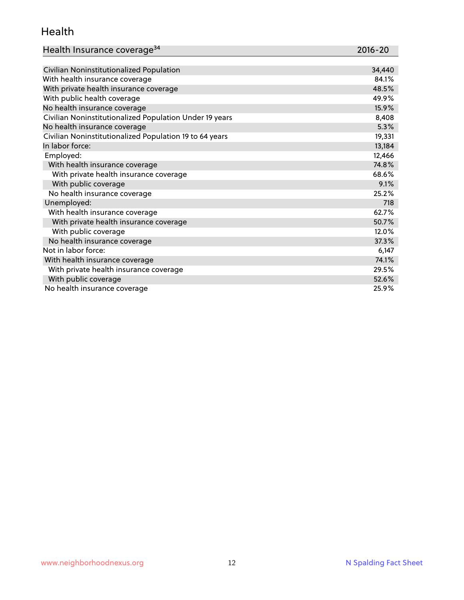#### Health

| Health Insurance coverage <sup>34</sup> | 2016-20 |
|-----------------------------------------|---------|
|-----------------------------------------|---------|

| Civilian Noninstitutionalized Population                | 34,440 |
|---------------------------------------------------------|--------|
| With health insurance coverage                          | 84.1%  |
| With private health insurance coverage                  | 48.5%  |
| With public health coverage                             | 49.9%  |
| No health insurance coverage                            | 15.9%  |
| Civilian Noninstitutionalized Population Under 19 years | 8,408  |
| No health insurance coverage                            | 5.3%   |
| Civilian Noninstitutionalized Population 19 to 64 years | 19,331 |
| In labor force:                                         | 13,184 |
| Employed:                                               | 12,466 |
| With health insurance coverage                          | 74.8%  |
| With private health insurance coverage                  | 68.6%  |
| With public coverage                                    | 9.1%   |
| No health insurance coverage                            | 25.2%  |
| Unemployed:                                             | 718    |
| With health insurance coverage                          | 62.7%  |
| With private health insurance coverage                  | 50.7%  |
| With public coverage                                    | 12.0%  |
| No health insurance coverage                            | 37.3%  |
| Not in labor force:                                     | 6,147  |
| With health insurance coverage                          | 74.1%  |
| With private health insurance coverage                  | 29.5%  |
| With public coverage                                    | 52.6%  |
| No health insurance coverage                            | 25.9%  |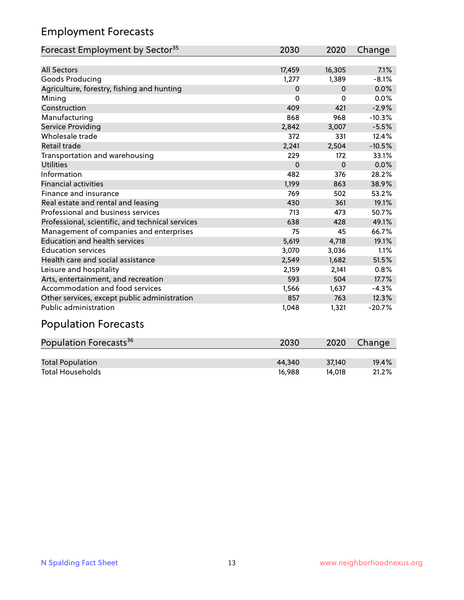## Employment Forecasts

| Forecast Employment by Sector <sup>35</sup>      | 2030     | 2020     | Change   |
|--------------------------------------------------|----------|----------|----------|
|                                                  |          |          |          |
| <b>All Sectors</b>                               | 17,459   | 16,305   | 7.1%     |
| Goods Producing                                  | 1,277    | 1,389    | $-8.1%$  |
| Agriculture, forestry, fishing and hunting       | $\Omega$ | $\Omega$ | 0.0%     |
| Mining                                           | $\Omega$ | 0        | 0.0%     |
| Construction                                     | 409      | 421      | $-2.9%$  |
| Manufacturing                                    | 868      | 968      | $-10.3%$ |
| Service Providing                                | 2,842    | 3,007    | $-5.5%$  |
| Wholesale trade                                  | 372      | 331      | 12.4%    |
| <b>Retail trade</b>                              | 2,241    | 2,504    | $-10.5%$ |
| Transportation and warehousing                   | 229      | 172      | 33.1%    |
| <b>Utilities</b>                                 | $\Omega$ | $\Omega$ | 0.0%     |
| Information                                      | 482      | 376      | 28.2%    |
| <b>Financial activities</b>                      | 1,199    | 863      | 38.9%    |
| Finance and insurance                            | 769      | 502      | 53.2%    |
| Real estate and rental and leasing               | 430      | 361      | 19.1%    |
| Professional and business services               | 713      | 473      | 50.7%    |
| Professional, scientific, and technical services | 638      | 428      | 49.1%    |
| Management of companies and enterprises          | 75       | 45       | 66.7%    |
| <b>Education and health services</b>             | 5,619    | 4,718    | 19.1%    |
| <b>Education services</b>                        | 3,070    | 3,036    | 1.1%     |
| Health care and social assistance                | 2,549    | 1,682    | 51.5%    |
| Leisure and hospitality                          | 2,159    | 2,141    | 0.8%     |
| Arts, entertainment, and recreation              | 593      | 504      | 17.7%    |
| Accommodation and food services                  | 1,566    | 1,637    | $-4.3%$  |
| Other services, except public administration     | 857      | 763      | 12.3%    |
| <b>Public administration</b>                     | 1,048    | 1,321    | $-20.7%$ |

## Population Forecasts

| Population Forecasts <sup>36</sup> | 2030   | 2020   | Change |
|------------------------------------|--------|--------|--------|
|                                    |        |        |        |
| <b>Total Population</b>            | 44.340 | 37.140 | 19.4%  |
| <b>Total Households</b>            | 16.988 | 14.018 | 21.2%  |